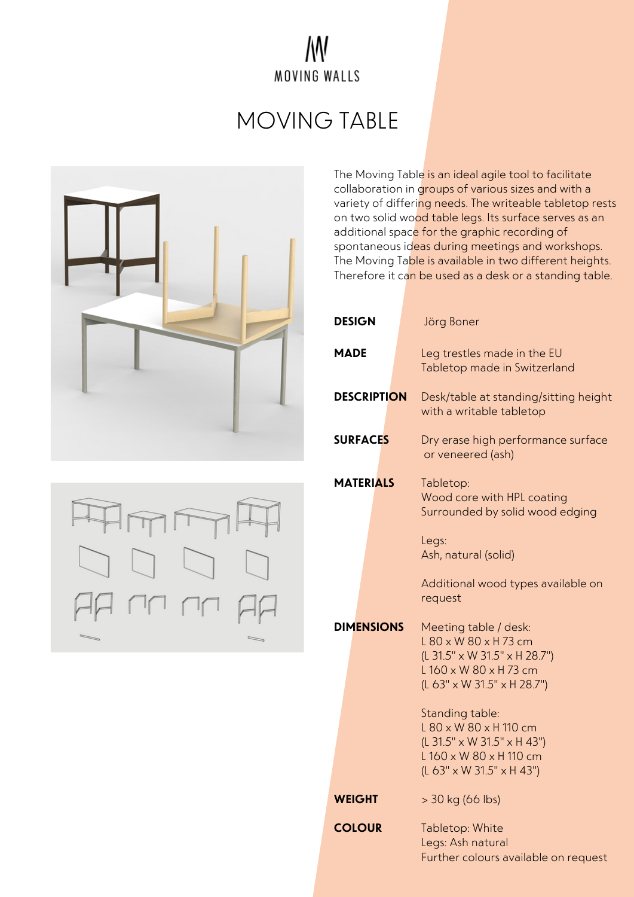## W MOVING WALLS

## MOVING TABLE



The Moving Table is an ideal agile tool to facilitate collaboration in groups of various sizes and with a variety of differing needs. The writeable tabletop rests on two solid wood table legs. Its surface serves as an additional space for the graphic recording of spontaneous ideas during meetings and workshops. The Moving Table is available in two different heights. Therefore it can be used as a desk or a standing table.

| <b>DESIGN</b>      | Jörg Boner                                                                                                                                   |
|--------------------|----------------------------------------------------------------------------------------------------------------------------------------------|
| MADE               | Leg trestles made in the EU<br>Tabletop made in Switzerland                                                                                  |
| <b>DESCRIPTION</b> | Desk/table at standing/sitting height<br>with a writable tabletop                                                                            |
| <b>SURFACES</b>    | Dry erase high performance surface<br>or veneered (ash)                                                                                      |
| <b>MATERIALS</b>   | Tabletop:<br>Wood core with HPL coating<br>Surrounded by solid wood edging                                                                   |
|                    | Legs:<br>Ash, natural (solid)                                                                                                                |
|                    | Additional wood types available on<br>request                                                                                                |
| <b>DIMENSIONS</b>  | Meeting table / desk:<br>$L$ 80 x W 80 x H 73 cm<br>(L 31.5" x W 31.5" x H 28.7")<br>$L$ 160 x W 80 x H 73 cm<br>(L 63" x W 31.5" x H 28.7") |
|                    | Standing table:<br>$L$ 80 x W 80 x H 110 cm<br>(L 31.5" x W 31.5" x H 43")<br>L 160 x W 80 x H 110 cm<br>(L 63" x W 31.5" x H 43")           |
| <b>WEIGHT</b>      | > 30 kg (66 lbs)                                                                                                                             |
| <b>COLOUR</b>      | Tabletop: White<br>Legs: Ash natural<br>Further colours available on request                                                                 |